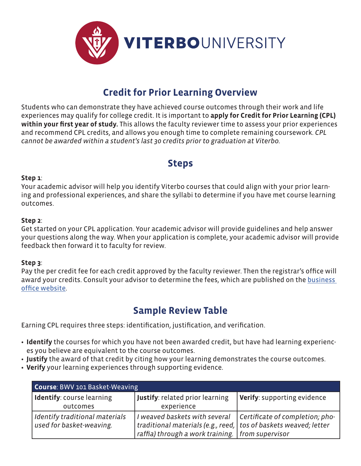

## **Credit for Prior Learning Overview**

Students who can demonstrate they have achieved course outcomes through their work and life experiences may qualify for college credit. It is important to **apply for Credit for Prior Learning (CPL) within your first year of study.** This allows the faculty reviewer time to assess your prior experiences and recommend CPL credits, and allows you enough time to complete remaining coursework. *CPL cannot be awarded within a student's last 30 credits prior to graduation at Viterbo.*

### **Steps**

#### **Step 1**:

Your academic advisor will help you identify Viterbo courses that could align with your prior learning and professional experiences, and share the syllabi to determine if you have met course learning outcomes.

#### **Step 2**:

Get started on your CPL application. Your academic advisor will provide guidelines and help answer your questions along the way. When your application is complete, your academic advisor will provide feedback then forward it to faculty for review.

### **Step 3**:

Pay the per credit fee for each credit approved by the faculty reviewer. Then the registrar's office will award your credits. Consult your advisor to determine the fees, which are published on the business office website.

### **Sample Review Table**

Earning CPL requires three steps: identification, justification, and verification.

- **• Identify** the courses for which you have not been awarded credit, but have had learning experiences you believe are equivalent to the course outcomes.
- **• Justify** the award of that credit by citing how your learning demonstrates the course outcomes.
- **• Verify** your learning experiences through supporting evidence.

| Course: BWV 101 Basket-Weaving                               |                                                                                                                                                           |                                 |
|--------------------------------------------------------------|-----------------------------------------------------------------------------------------------------------------------------------------------------------|---------------------------------|
| Identify: course learning<br>outcomes                        | <b>Justify: related prior learning</b><br>experience                                                                                                      | Verify: supporting evidence     |
| I Identify traditional materials<br>used for basket-weaving. | I weaved baskets with several<br>traditional materials (e.g., reed,   tos of baskets weaved; letter<br>raffia) through a work training.   from supervisor | Certificate of completion; pho- |